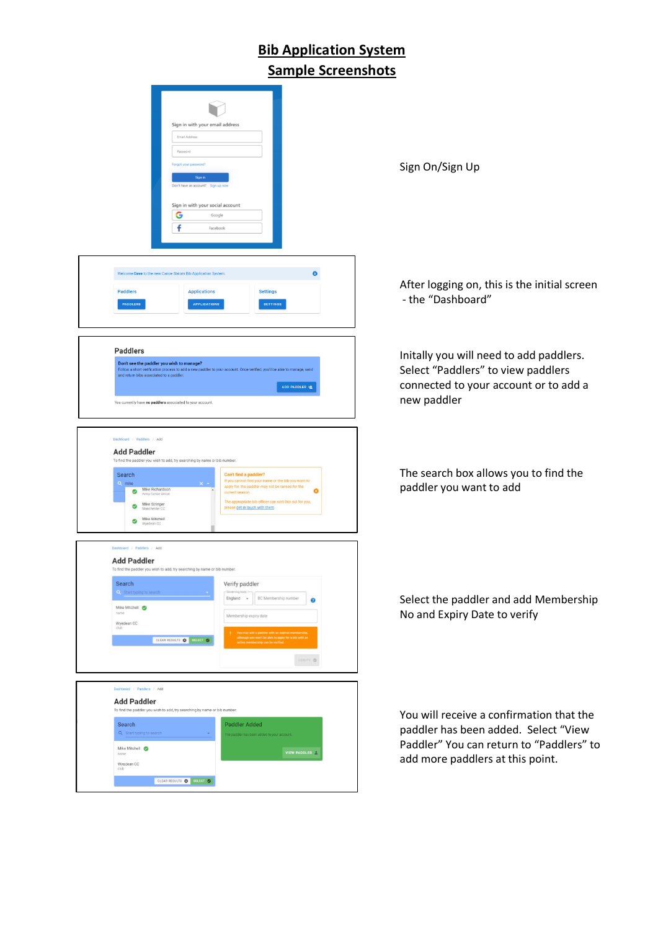## **Bib Application System Sample Screenshots**

| Sign in with your email address<br>Email Address<br>Password<br>Forgot your password?<br>Sign in<br>Don't have an account? Sign<br>Sign in with your social account<br>G<br>Google<br>f<br>Facebook                                                                                                                                                                                                                                                                                                                                                              | Sign On/Sign Up                                                                                                                                                  |
|------------------------------------------------------------------------------------------------------------------------------------------------------------------------------------------------------------------------------------------------------------------------------------------------------------------------------------------------------------------------------------------------------------------------------------------------------------------------------------------------------------------------------------------------------------------|------------------------------------------------------------------------------------------------------------------------------------------------------------------|
| Ø<br>Welcome Dave to the new Canoe Slalom Bib Application System<br><b>Paddlers</b><br><b>Settings</b><br><b>Applications</b><br><b>PADDLERS</b><br><b>APPLICATIONS</b><br><b>SETTINGS</b>                                                                                                                                                                                                                                                                                                                                                                       | After logging on, this is the initial screen<br>- the "Dashboard"                                                                                                |
| <b>Paddlers</b><br>Don't see the paddler you wish to manage?<br>Follow a short verification process to add a new paddler to your account. Once verified, you'll be able to manage, send<br>and return bibs associated to a paddler.<br>ADD PADDLER 也<br>You currently have no paddlers associated to your account.                                                                                                                                                                                                                                               | Initally you will need to add paddlers.<br>Select "Paddlers" to view paddlers<br>connected to your account or to add a<br>new paddler                            |
| Dashboard / Paddlers / Add<br><b>Add Paddler</b><br>To find the paddler you wish to add, try searching by name or bib number.<br>Can't find a paddler?<br>Search<br>If you cannot find your name or the bib you want to<br>Q mike<br>$x -$<br>apply for, the paddler may not be ranked for the<br>Mike Richardson<br>ø<br>$\bullet$<br>current season.<br>Army Cance Union<br>The appropriate bib officer can sort this out for you,<br>Mike Stringer<br>$\circ$<br>please get in touch with them.<br>Manchester CC<br>Mike Mitchell<br>$\rm \sim$<br>Wyedean CC | The search box allows you to find the<br>paddler you want to add                                                                                                 |
| Dashboard / Paddlers / Add<br><b>Add Paddler</b><br>To find the paddler you wish to add, try searching by name or bib number.<br>Search<br>Verify paddler<br>Q Start typing to search<br>BC Membership number<br>England -<br>0<br>Mike Mitchell ©<br>name<br>Membership expiry date<br>Wyedean CC<br>won't be able to apply for a bib a<br>CLEAR RESULTS O LITTLET O<br><b>ESIFY O</b>                                                                                                                                                                          | Select the paddler and add Membership<br>No and Expiry Date to verify                                                                                            |
| Dashboard / Paddlers / Add<br><b>Add Paddler</b><br>To find the paddler you wish to add, try searching by name or bib number.<br>Search<br>Paddler Added<br>Q Start typing to search<br>Mike Mitchell @<br>VIEW PADDLER A<br>name<br>Wyedean CC<br>CLEAR RESULTS @ SELECT @                                                                                                                                                                                                                                                                                      | You will receive a confirmation that the<br>paddler has been added. Select "View<br>Paddler" You can return to "Paddlers" to<br>add more paddlers at this point. |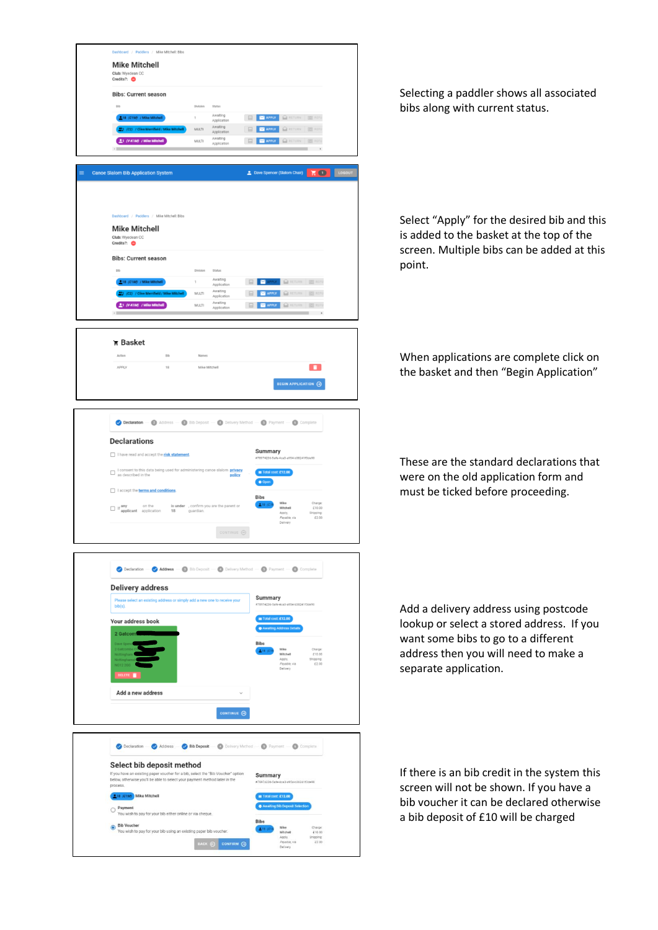

Selecting a paddler shows all associated bibs along with current status.

Select "Apply" for the desired bib and this is added to the basket at the top of the screen. Multiple bibs can be added at this point.

When applications are complete click on the basket and then "Begin Application"

These are the standard declarations that were on the old application form and must be ticked before proceeding.

Add a delivery address using postcode lookup or select a stored address. If you want some bibs to go to a different address then you will need to make a separate application.

If there is an bib credit in the system this screen will not be shown. If you have a bib voucher it can be declared otherwise a bib deposit of £10 will be charged